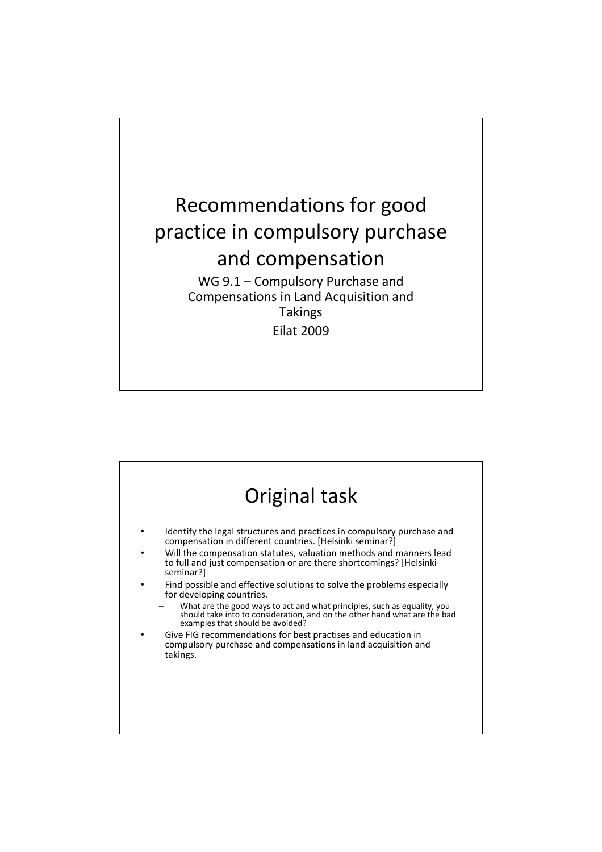

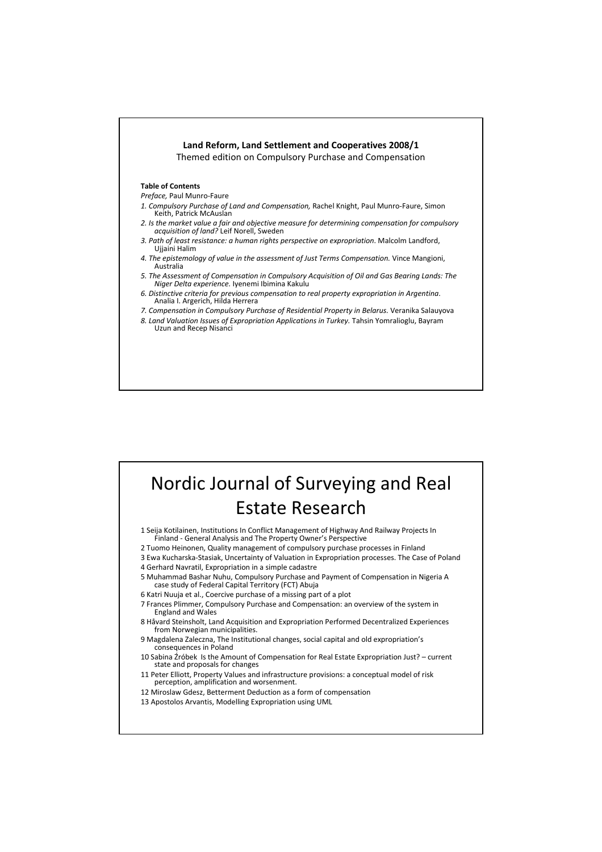

## Nordic Journal of Surveying and Real Estate Research

1 Seija Kotilainen, Institutions In Conflict Management of Highway And Railway Projects In Finland - General Analysis and The Property Owner's Perspective

- 2 Tuomo Heinonen, Quality management of compulsory purchase processes in Finland
- 3 Ewa Kucharska-Stasiak, Uncertainty of Valuation in Expropriation processes. The Case of Poland
- 4 Gerhard Navratil, Expropriation in a simple cadastre
- 5 Muhammad Bashar Nuhu, Compulsory Purchase and Payment of Compensation in Nigeria A case study of Federal Capital Territory (FCT) Abuja
- 6 Katri Nuuja et al., Coercive purchase of a missing part of a plot
- 7 Frances Plimmer, Compulsory Purchase and Compensation: an overview of the system in England and Wales
- 8 Håvard Steinsholt, Land Acquisition and Expropriation Performed Decentralized Experiences from Norwegian municipalities.
- 9 Magdalena Zaleczna, The Institutional changes, social capital and old expropriation's consequences in Poland
- 10 Sabina Źróbek Is the Amount of Compensation for Real Estate Expropriation Just? current state and proposals for changes
- 11 Peter Elliott, Property Values and infrastructure provisions: a conceptual model of risk perception, amplification and worsenment.
- 12 Miroslaw Gdesz, Betterment Deduction as a form of compensation
- 13 Apostolos Arvantis, Modelling Expropriation using UML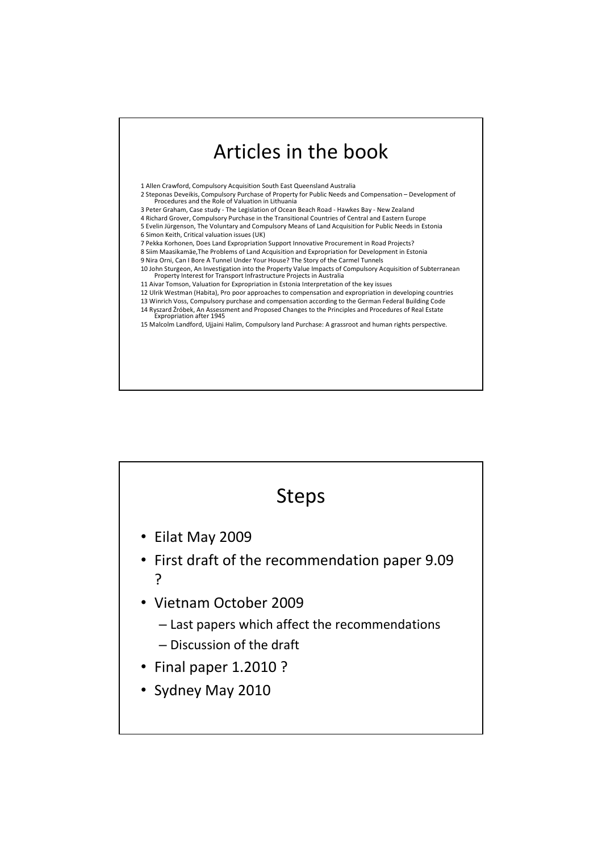



2 Steponas Deveikis, Compulsory Purchase of Property for Public Needs and Compensation – Development of Procedures and the Role of Valuation in Lithuania

- 3 Peter Graham, Case study The Legislation of Ocean Beach Road Hawkes Bay New Zealand
- 4 Richard Grover, Compulsory Purchase in the Transitional Countries of Central and Eastern Europe 5 Evelin Jürgenson, The Voluntary and Compulsory Means of Land Acquisition for Public Needs in Estonia
- 6 Simon Keith, Critical valuation issues (UK)

7 Pekka Korhonen, Does Land Expropriation Support Innovative Procurement in Road Projects?

8 Siim Maasikamäe,The Problems of Land Acquisition and Expropriation for Development in Estonia

9 Nira Orni, Can I Bore A Tunnel Under Your House? The Story of the Carmel Tunnels

10 John Sturgeon, An Investigation into the Property Value Impacts of Compulsory Acquisition of Subterranean Property Interest for Transport Infrastructure Projects in Australia

11 Aivar Tomson, Valuation for Expropriation in Estonia Interpretation of the key issues

12 Ulrik Westman (Habita), Pro poor approaches to compensation and expropriation in developing countries

13 Winrich Voss, Compulsory purchase and compensation according to the German Federal Building Code 14 Ryszard Źróbek, An Assessment and Proposed Changes to the Principles and Procedures of Real Estate Expropriation after 1945

15 Malcolm Landford, Ujjaini Halim, Compulsory land Purchase: A grassroot and human rights perspective.

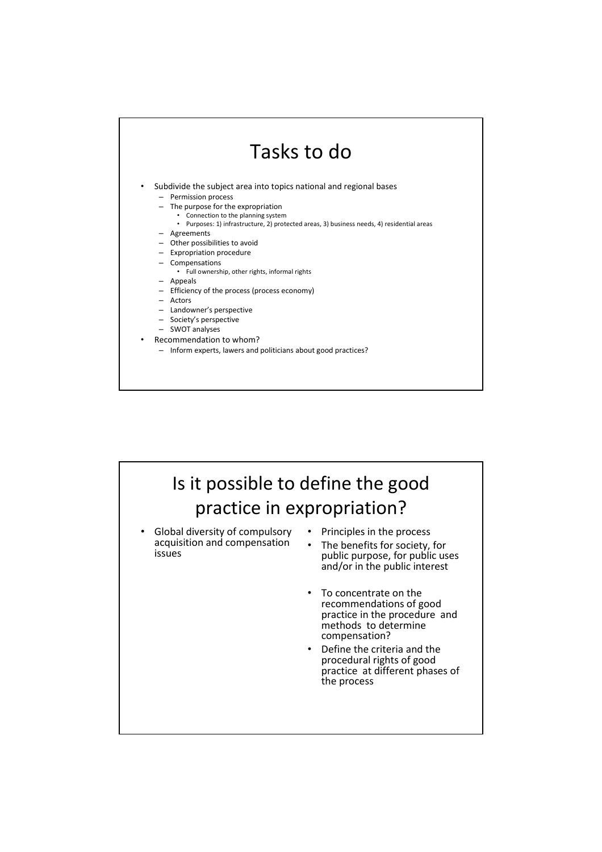## Tasks to do Subdivide the subject area into topics national and regional bases – Permission process – The purpose for the expropriation • Connection to the planning system • Purposes: 1) infrastructure, 2) protected areas, 3) business needs, 4) residential areas – Agreements – Other possibilities to avoid – Expropriation procedure – Compensations • Full ownership, other rights, informal rights – Appeals – Efficiency of the process (process economy) – Actors – Landowner's perspective – Society's perspective – SWOT analyses • Recommendation to whom? – Inform experts, lawers and politicians about good practices?

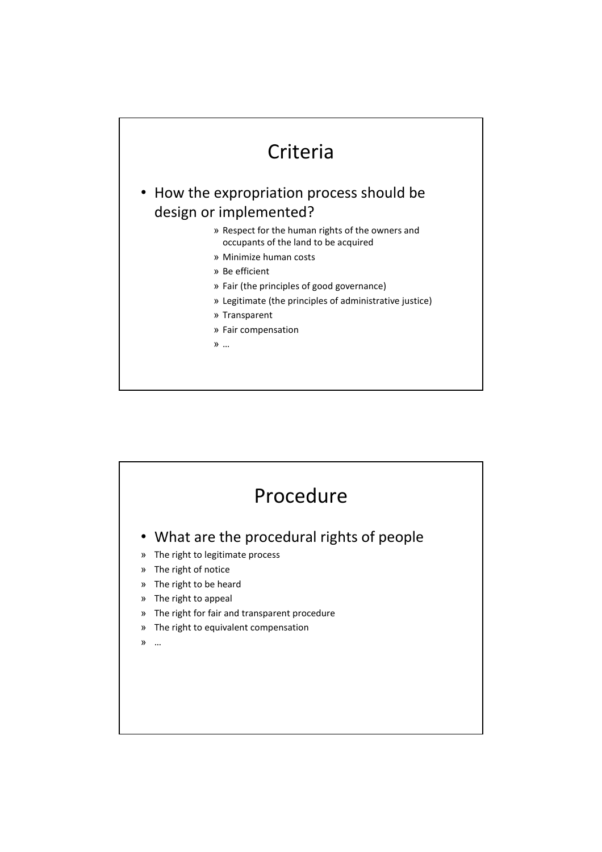

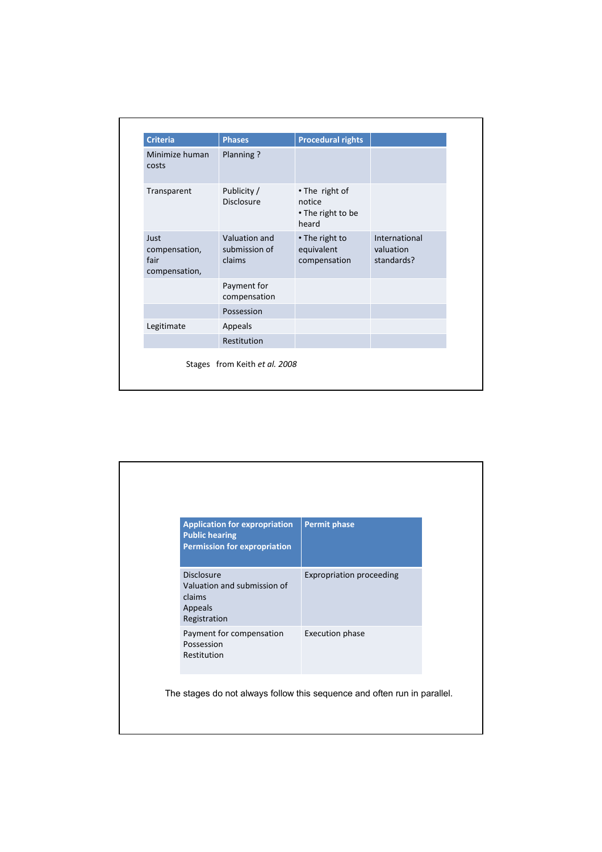| <b>Criteria</b>                                | <b>Phases</b>                            | <b>Procedural rights</b>                               |                                          |
|------------------------------------------------|------------------------------------------|--------------------------------------------------------|------------------------------------------|
| Minimize human<br>costs                        | Planning?                                |                                                        |                                          |
| Transparent                                    | Publicity /<br><b>Disclosure</b>         | • The right of<br>notice<br>• The right to be<br>heard |                                          |
| Just<br>compensation,<br>fair<br>compensation, | Valuation and<br>submission of<br>claims | • The right to<br>equivalent<br>compensation           | International<br>valuation<br>standards? |
|                                                | Payment for<br>compensation              |                                                        |                                          |
|                                                | Possession                               |                                                        |                                          |
| Legitimate                                     | Appeals                                  |                                                        |                                          |
|                                                | Restitution                              |                                                        |                                          |
|                                                | Stages from Keith et al. 2008            |                                                        |                                          |

| <b>Application for expropriation</b><br><b>Public hearing</b><br><b>Permission for expropriation</b> | <b>Permit phase</b>             |
|------------------------------------------------------------------------------------------------------|---------------------------------|
| Disclosure<br>Valuation and submission of<br>claims<br>Appeals<br>Registration                       | <b>Expropriation proceeding</b> |
| Payment for compensation<br>Possession<br>Restitution                                                | <b>Execution phase</b>          |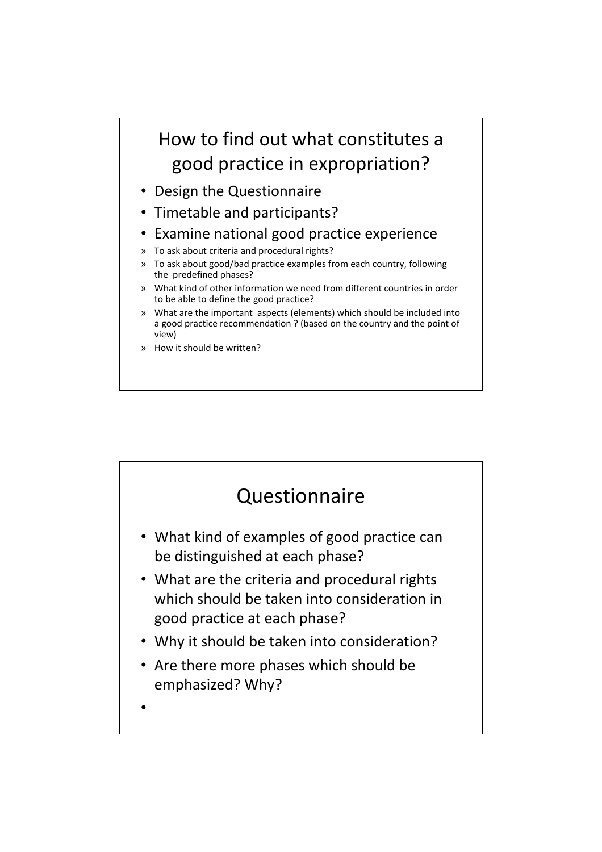## How to find out what constitutes a good practice in expropriation?

- Design the Questionnaire
- Timetable and participants?
- Examine national good practice experience
- » To ask about criteria and procedural rights?
- » To ask about good/bad practice examples from each country, following the predefined phases?
- » What kind of other information we need from different countries in order to be able to define the good practice?
- » What are the important aspects (elements) which should be included into a good practice recommendation ? (based on the country and the point of view)
- » How it should be written?